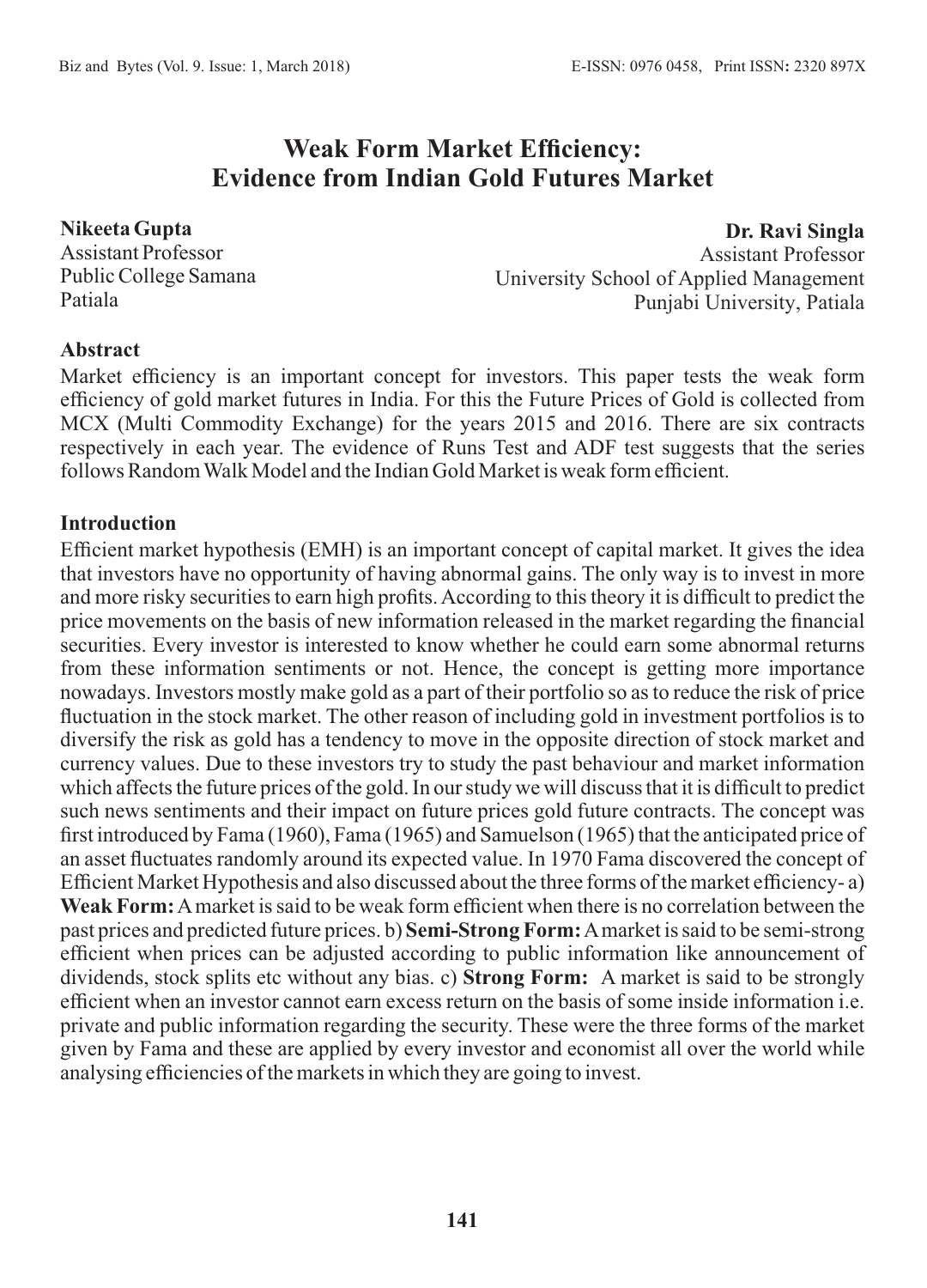# **Weak Form Market Efficiency: Evidence from Indian Gold Futures Market**

**Nikeeta Gupta**  Assistant Professor Public College Samana Patiala

**Dr. Ravi Singla** Assistant Professor University School of Applied Management Punjabi University, Patiala

#### **Abstract**

Market efficiency is an important concept for investors. This paper tests the weak form efficiency of gold market futures in India. For this the Future Prices of Gold is collected from MCX (Multi Commodity Exchange) for the years 2015 and 2016. There are six contracts respectively in each year. The evidence of Runs Test and ADF test suggests that the series follows Random Walk Model and the Indian Gold Market is weak form efficient.

#### **Introduction**

Efficient market hypothesis (EMH) is an important concept of capital market. It gives the idea that investors have no opportunity of having abnormal gains. The only way is to invest in more and more risky securities to earn high profits. According to this theory it is difficult to predict the price movements on the basis of new information released in the market regarding the financial securities. Every investor is interested to know whether he could earn some abnormal returns from these information sentiments or not. Hence, the concept is getting more importance nowadays. Investors mostly make gold as a part of their portfolio so as to reduce the risk of price fluctuation in the stock market. The other reason of including gold in investment portfolios is to diversify the risk as gold has a tendency to move in the opposite direction of stock market and currency values. Due to these investors try to study the past behaviour and market information which affects the future prices of the gold. In our study we will discuss that it is difficult to predict such news sentiments and their impact on future prices gold future contracts. The concept was first introduced by Fama (1960), Fama (1965) and Samuelson (1965) that the anticipated price of an asset fluctuates randomly around its expected value. In 1970 Fama discovered the concept of Efficient Market Hypothesis and also discussed about the three forms of the market efficiency- a) **Weak Form:**Amarket is said to be weak form efficient when there is no correlation between the past prices and predicted future prices. b) **Semi-Strong Form:**Amarket is said to be semi-strong efficient when prices can be adjusted according to public information like announcement of dividends, stock splits etc without any bias. c) **Strong Form:** A market is said to be strongly efficient when an investor cannot earn excess return on the basis of some inside information i.e. private and public information regarding the security. These were the three forms of the market given by Fama and these are applied by every investor and economist all over the world while analysing efficiencies of the markets in which they are going to invest.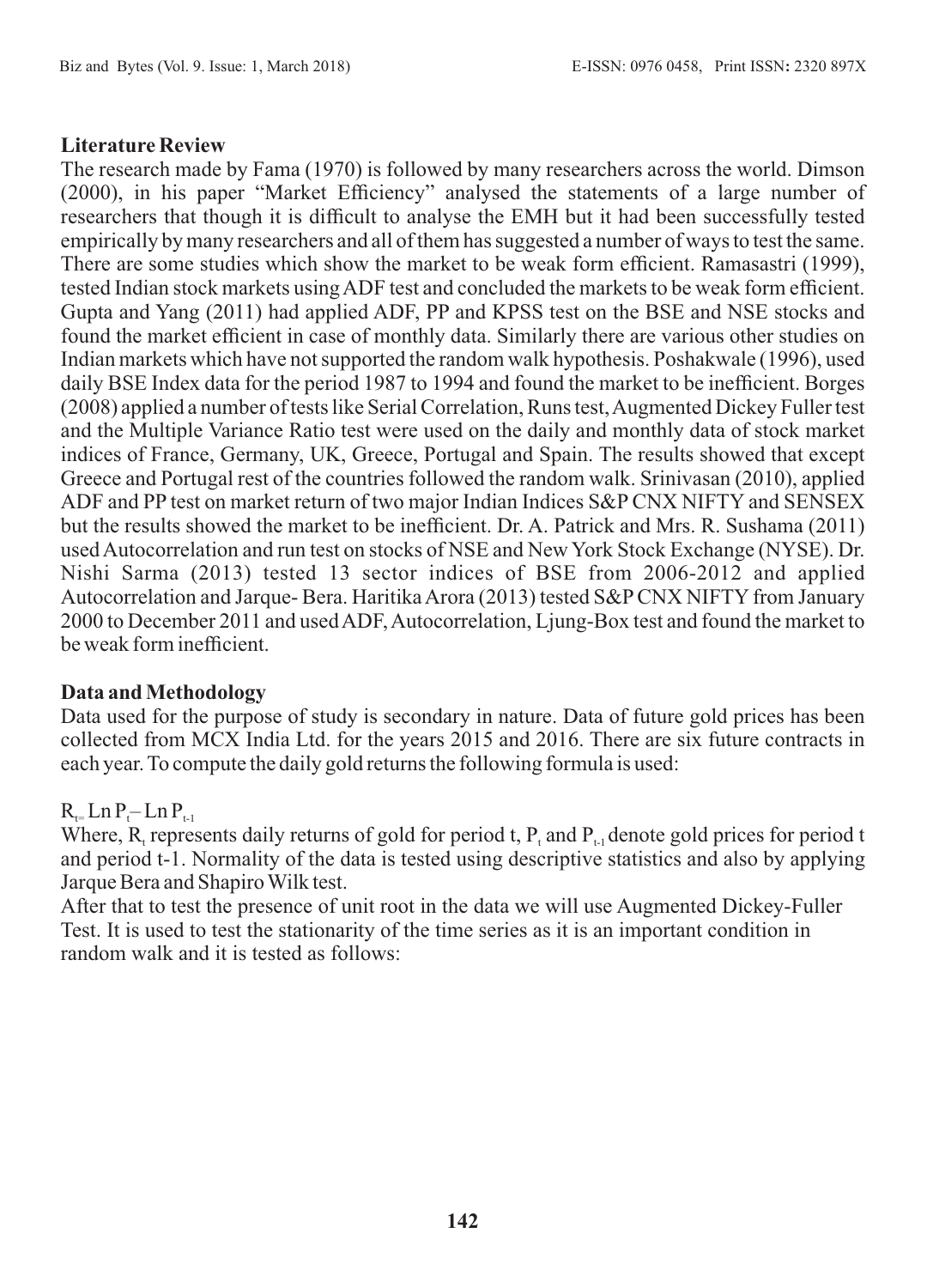#### **Literature Review**

The research made by Fama (1970) is followed by many researchers across the world. Dimson (2000), in his paper "Market Efficiency" analysed the statements of a large number of researchers that though it is difficult to analyse the EMH but it had been successfully tested empirically by many researchers and all of them has suggested a number of ways to test the same. There are some studies which show the market to be weak form efficient. Ramasastri (1999), tested Indian stock markets using ADF test and concluded the markets to be weak form efficient. Gupta and Yang (2011) had applied ADF, PP and KPSS test on the BSE and NSE stocks and found the market efficient in case of monthly data. Similarly there are various other studies on Indian markets which have not supported the random walk hypothesis. Poshakwale (1996), used daily BSE Index data for the period 1987 to 1994 and found the market to be inefficient. Borges (2008) applied a number of tests like Serial Correlation, Runs test, Augmented Dickey Fuller test and the Multiple Variance Ratio test were used on the daily and monthly data of stock market indices of France, Germany, UK, Greece, Portugal and Spain. The results showed that except Greece and Portugal rest of the countries followed the random walk. Srinivasan (2010), applied ADF and PP test on market return of two major Indian Indices S&PCNX NIFTY and SENSEX but the results showed the market to be inefficient. Dr. A. Patrick and Mrs. R. Sushama (2011) used Autocorrelation and run test on stocks of NSE and New York Stock Exchange (NYSE). Dr. Nishi Sarma (2013) tested 13 sector indices of BSE from 2006-2012 and applied Autocorrelation and Jarque- Bera. Haritika Arora (2013) tested S&P CNX NIFTY from January 2000 to December 2011 and used ADF, Autocorrelation, Ljung-Box test and found the market to be weak form inefficient.

#### **Data and Methodology**

Data used for the purpose of study is secondary in nature. Data of future gold prices has been collected from MCX India Ltd. for the years 2015 and 2016. There are six future contracts in each year. To compute the daily gold returns the following formula is used:

# $R_{t=}$  Ln P<sub>t-1</sub>

Where, R, represents daily returns of gold for period t,  $P_t$  and  $P_{t-1}$  denote gold prices for period t and period t-1. Normality of the data is tested using descriptive statistics and also by applying Jarque Bera and Shapiro Wilk test.

After that to test the presence of unit root in the data we will use Augmented Dickey-Fuller Test. It is used to test the stationarity of the time series as it is an important condition in random walk and it is tested as follows: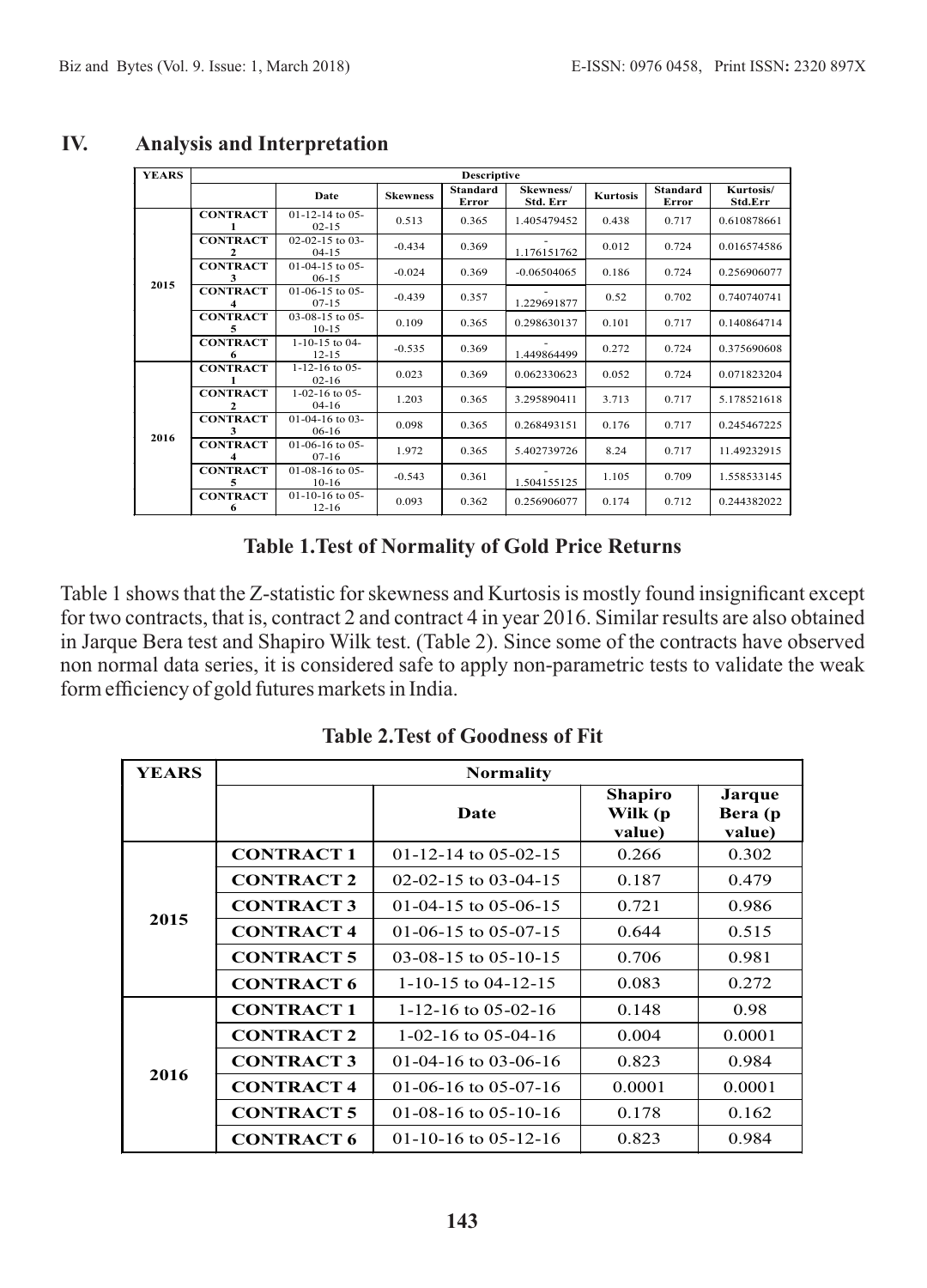| <b>YEARS</b> | <b>Descriptive</b>   |                                       |                 |                          |                       |                 |                          |                      |
|--------------|----------------------|---------------------------------------|-----------------|--------------------------|-----------------------|-----------------|--------------------------|----------------------|
|              |                      | Date                                  | <b>Skewness</b> | <b>Standard</b><br>Error | Skewness/<br>Std. Err | <b>Kurtosis</b> | <b>Standard</b><br>Error | Kurtosis/<br>Std.Err |
| 2015         | <b>CONTRACT</b>      | $01-12-14$ to $05-$<br>$02 - 15$      | 0.513           | 0.365                    | 1.405479452           | 0.438           | 0.717                    | 0.610878661          |
|              | <b>CONTRACT</b><br>2 | $02 - 02 - 15$ to $03 -$<br>$04 - 15$ | $-0.434$        | 0.369                    | 1.176151762           | 0.012           | 0.724                    | 0.016574586          |
|              | <b>CONTRACT</b><br>3 | $01-04-15$ to $05-$<br>$06-15$        | $-0.024$        | 0.369                    | $-0.06504065$         | 0.186           | 0.724                    | 0.256906077          |
|              | <b>CONTRACT</b><br>4 | $01-06-15$ to $05-$<br>$07 - 15$      | $-0.439$        | 0.357                    | 1.229691877           | 0.52            | 0.702                    | 0.740740741          |
|              | <b>CONTRACT</b><br>5 | $03-08-15$ to $05-$<br>$10-15$        | 0.109           | 0.365                    | 0.298630137           | 0.101           | 0.717                    | 0.140864714          |
|              | <b>CONTRACT</b><br>6 | $1 - 10 - 15$ to 04-<br>$12 - 15$     | $-0.535$        | 0.369                    | 1.449864499           | 0.272           | 0.724                    | 0.375690608          |
| 2016         | <b>CONTRACT</b>      | $1 - 12 - 16$ to 05-<br>$02 - 16$     | 0.023           | 0.369                    | 0.062330623           | 0.052           | 0.724                    | 0.071823204          |
|              | <b>CONTRACT</b><br>2 | $1 - 02 - 16$ to 05-<br>$04-16$       | 1.203           | 0.365                    | 3.295890411           | 3.713           | 0.717                    | 5.178521618          |
|              | <b>CONTRACT</b>      | $01-04-16$ to $03-$<br>$06-16$        | 0.098           | 0.365                    | 0.268493151           | 0.176           | 0.717                    | 0.245467225          |
|              | <b>CONTRACT</b><br>4 | $01-06-16$ to $05-$<br>$07-16$        | 1.972           | 0.365                    | 5.402739726           | 8.24            | 0.717                    | 11.49232915          |
|              | <b>CONTRACT</b><br>5 | $01-08-16$ to $05-$<br>$10-16$        | $-0.543$        | 0.361                    | 1.504155125           | 1.105           | 0.709                    | 1.558533145          |
|              | <b>CONTRACT</b><br>6 | $01-10-16$ to $05-$<br>$12 - 16$      | 0.093           | 0.362                    | 0.256906077           | 0.174           | 0.712                    | 0.244382022          |

#### **IV. Analysis and Interpretation**

# **Table 1.Test of Normality of Gold Price Returns**

Table 1 shows that the Z-statistic for skewness and Kurtosis is mostly found insignificant except for two contracts, that is, contract 2 and contract 4 in year 2016. Similar results are also obtained in Jarque Bera test and Shapiro Wilk test. (Table 2). Since some of the contracts have observed non normal data series, it is considered safe to apply non-parametric tests to validate the weak form efficiency of gold futures markets in India.

| <b>YEARS</b> | <b>Normality</b>  |                          |                                     |                             |  |
|--------------|-------------------|--------------------------|-------------------------------------|-----------------------------|--|
|              |                   | Date                     | <b>Shapiro</b><br>Wilk (p<br>value) | Jarque<br>Bera (p<br>value) |  |
|              | <b>CONTRACT 1</b> | 01-12-14 to 05-02-15     | 0.266                               | 0.302                       |  |
|              | <b>CONTRACT 2</b> | 02-02-15 to 03-04-15     | 0.187                               | 0.479                       |  |
|              | <b>CONTRACT 3</b> | 01-04-15 to 05-06-15     | 0.721                               | 0.986                       |  |
| 2015         | <b>CONTRACT 4</b> | 01-06-15 to 05-07-15     | 0.644                               | 0.515                       |  |
|              | <b>CONTRACT 5</b> | $03-08-15$ to $05-10-15$ | 0.706                               | 0.981                       |  |
|              | <b>CONTRACT 6</b> | 1-10-15 to 04-12-15      | 0.083                               | 0.272                       |  |
|              | <b>CONTRACT 1</b> | 1-12-16 to 05-02-16      | 0.148                               | 0.98                        |  |
|              | <b>CONTRACT 2</b> | 1-02-16 to 05-04-16      | 0.004                               | 0.0001                      |  |
|              | <b>CONTRACT 3</b> | 01-04-16 to 03-06-16     | 0.823                               | 0.984                       |  |
| 2016         | <b>CONTRACT 4</b> | 01-06-16 to 05-07-16     | 0.0001                              | 0.0001                      |  |
|              | <b>CONTRACT 5</b> | 01-08-16 to 05-10-16     | 0.178                               | 0.162                       |  |
|              | <b>CONTRACT 6</b> | $01-10-16$ to $05-12-16$ | 0.823                               | 0.984                       |  |

**Table 2.Test of Goodness of Fit**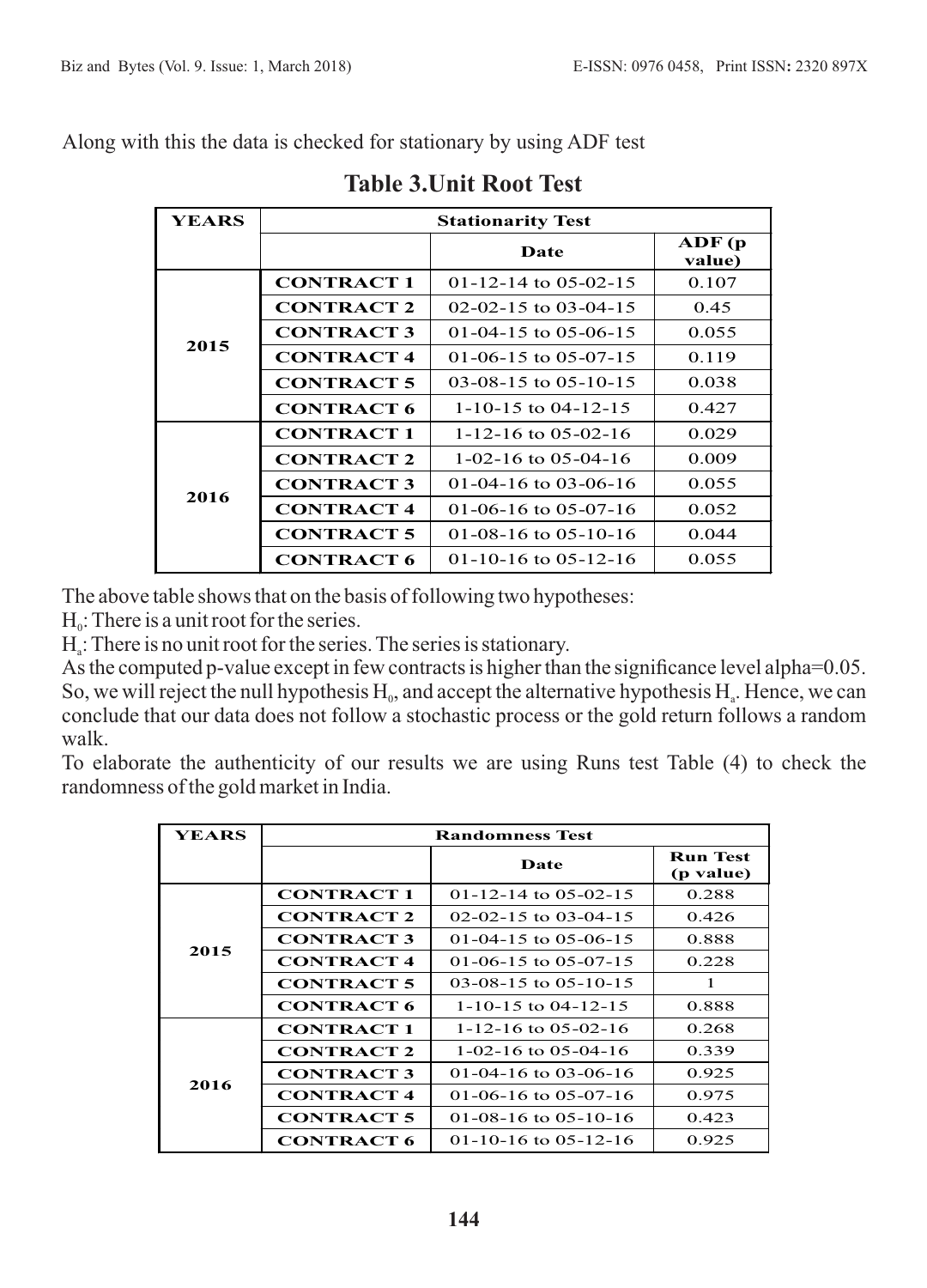Along with this the data is checked for stationary by using ADF test

| <b>YEARS</b>      | <b>Stationarity Test</b> |                                 |                        |  |  |
|-------------------|--------------------------|---------------------------------|------------------------|--|--|
|                   |                          | Date                            | $\bf ADF$ (p<br>value) |  |  |
|                   | <b>CONTRACT 1</b>        | $01-12-14$ to $05-02-15$        | 0.107                  |  |  |
|                   | <b>CONTRACT 2</b>        | 02-02-15 to 03-04-15            | 0.45                   |  |  |
|                   | <b>CONTRACT 3</b>        | $01-04-15$ to $05-06-15$        | 0.055                  |  |  |
| 2015              | <b>CONTRACT 4</b>        | $01-06-15$ to $05-07-15$        | 0.119                  |  |  |
|                   | <b>CONTRACT 5</b>        | $03-08-15$ to $05-10-15$        | 0.038                  |  |  |
|                   | <b>CONTRACT 6</b>        | $1 - 10 - 15$ to $04 - 12 - 15$ | 0.427                  |  |  |
| <b>CONTRACT 1</b> |                          | $1 - 12 - 16$ to 05-02-16       | 0.029                  |  |  |
|                   | <b>CONTRACT 2</b>        | $1-02-16$ to $05-04-16$         | 0.009                  |  |  |
|                   | <b>CONTRACT 3</b>        | 01-04-16 to 03-06-16            | 0.055                  |  |  |
| 2016              | <b>CONTRACT 4</b>        | 01-06-16 to 05-07-16            | 0.052                  |  |  |
|                   | <b>CONTRACT 5</b>        | 01-08-16 to 05-10-16            | 0.044                  |  |  |
|                   | <b>CONTRACT 6</b>        | $01-10-16$ to $05-12-16$        | 0.055                  |  |  |

# **Table 3.Unit Root Test**

The above table shows that on the basis of following two hypotheses:

 $H_0$ : There is a unit root for the series.

 $H_a$ : There is no unit root for the series. The series is stationary.

As the computed p-value except in few contracts is higher than the significance level alpha=0.05. So, we will reject the null hypothesis  $H_0$ , and accept the alternative hypothesis  $H_a$ . Hence, we can conclude that our data does not follow a stochastic process or the gold return follows a random walk.

To elaborate the authenticity of our results we are using Runs test Table (4) to check the randomness of the gold market in India.

| YEARS | <b>Randomness Test</b> |                          |                              |  |  |
|-------|------------------------|--------------------------|------------------------------|--|--|
|       |                        | Date                     | <b>Run Test</b><br>(p value) |  |  |
|       | <b>CONTRACT 1</b>      | $01-12-14$ to $05-02-15$ | 0.288                        |  |  |
|       | <b>CONTRACT 2</b>      | $02-02-15$ to $03-04-15$ | 0.426                        |  |  |
|       | <b>CONTRACT 3</b>      | 01-04-15 to 05-06-15     | 0.888                        |  |  |
| 2015  | <b>CONTRACT 4</b>      | $01-06-15$ to $05-07-15$ | 0.228                        |  |  |
|       | <b>CONTRACT 5</b>      | $03-08-15$ to $05-10-15$ | 1                            |  |  |
|       | <b>CONTRACT 6</b>      | 1-10-15 to 04-12-15      | 0.888                        |  |  |
|       | <b>CONTRACT 1</b>      | 1-12-16 to 05-02-16      | 0.268                        |  |  |
|       | <b>CONTRACT 2</b>      | $1-02-16$ to 05-04-16    | 0.339                        |  |  |
|       | <b>CONTRACT 3</b>      | 01-04-16 to 03-06-16     | 0.925                        |  |  |
| 2016  | <b>CONTRACT 4</b>      | 01-06-16 to 05-07-16     | 0.975                        |  |  |
|       | <b>CONTRACT 5</b>      | 01-08-16 to 05-10-16     | 0.423                        |  |  |
|       | <b>CONTRACT 6</b>      | $01-10-16$ to $05-12-16$ | 0.925                        |  |  |